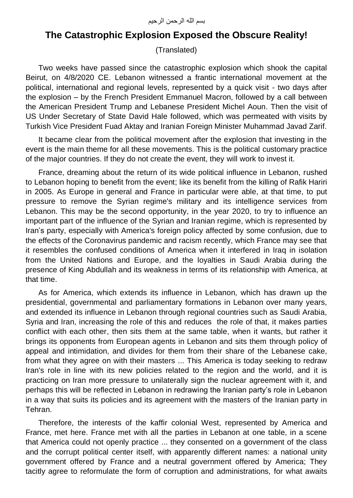## **The Catastrophic Explosion Exposed the Obscure Reality!**

(Translated)

Two weeks have passed since the catastrophic explosion which shook the capital Beirut, on 4/8/2020 CE. Lebanon witnessed a frantic international movement at the political, international and regional levels, represented by a quick visit - two days after the explosion – by the French President Emmanuel Macron, followed by a call between the American President Trump and Lebanese President Michel Aoun. Then the visit of US Under Secretary of State David Hale followed, which was permeated with visits by Turkish Vice President Fuad Aktay and Iranian Foreign Minister Muhammad Javad Zarif.

It became clear from the political movement after the explosion that investing in the event is the main theme for all these movements. This is the political customary practice of the major countries. If they do not create the event, they will work to invest it.

France, dreaming about the return of its wide political influence in Lebanon, rushed to Lebanon hoping to benefit from the event; like its benefit from the killing of Rafik Hariri in 2005. As Europe in general and France in particular were able, at that time, to put pressure to remove the Syrian regime's military and its intelligence services from Lebanon. This may be the second opportunity, in the year 2020, to try to influence an important part of the influence of the Syrian and Iranian regime, which is represented by Iran's party, especially with America's foreign policy affected by some confusion, due to the effects of the Coronavirus pandemic and racism recently, which France may see that it resembles the confused conditions of America when it interfered in Iraq in isolation from the United Nations and Europe, and the loyalties in Saudi Arabia during the presence of King Abdullah and its weakness in terms of its relationship with America, at that time.

As for America, which extends its influence in Lebanon, which has drawn up the presidential, governmental and parliamentary formations in Lebanon over many years, and extended its influence in Lebanon through regional countries such as Saudi Arabia, Syria and Iran, increasing the role of this and reduces the role of that, it makes parties conflict with each other, then sits them at the same table, when it wants, but rather it brings its opponents from European agents in Lebanon and sits them through policy of appeal and intimidation, and divides for them from their share of the Lebanese cake, from what they agree on with their masters ... This America is today seeking to redraw Iran's role in line with its new policies related to the region and the world, and it is practicing on Iran more pressure to unilaterally sign the nuclear agreement with it, and perhaps this will be reflected in Lebanon in redrawing the Iranian party's role in Lebanon in a way that suits its policies and its agreement with the masters of the Iranian party in Tehran.

Therefore, the interests of the kaffir colonial West, represented by America and France, met here. France met with all the parties in Lebanon at one table, in a scene that America could not openly practice ... they consented on a government of the class and the corrupt political center itself, with apparently different names: a national unity government offered by France and a neutral government offered by America; They tacitly agree to reformulate the form of corruption and administrations, for what awaits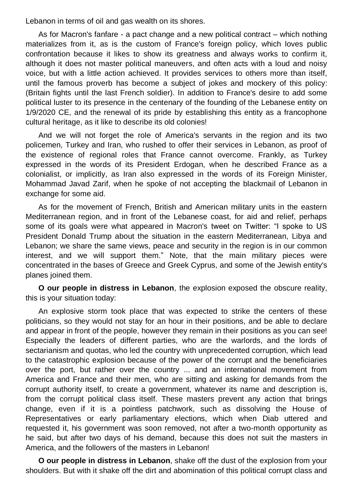Lebanon in terms of oil and gas wealth on its shores.

As for Macron's fanfare - a pact change and a new political contract – which nothing materializes from it, as is the custom of France's foreign policy, which loves public confrontation because it likes to show its greatness and always works to confirm it, although it does not master political maneuvers, and often acts with a loud and noisy voice, but with a little action achieved. It provides services to others more than itself, until the famous proverb has become a subject of jokes and mockery of this policy: (Britain fights until the last French soldier). In addition to France's desire to add some political luster to its presence in the centenary of the founding of the Lebanese entity on 1/9/2020 CE, and the renewal of its pride by establishing this entity as a francophone cultural heritage, as it like to describe its old colonies!

And we will not forget the role of America's servants in the region and its two policemen, Turkey and Iran, who rushed to offer their services in Lebanon, as proof of the existence of regional roles that France cannot overcome. Frankly, as Turkey expressed in the words of its President Erdogan, when he described France as a colonialist, or implicitly, as Iran also expressed in the words of its Foreign Minister, Mohammad Javad Zarif, when he spoke of not accepting the blackmail of Lebanon in exchange for some aid.

As for the movement of French, British and American military units in the eastern Mediterranean region, and in front of the Lebanese coast, for aid and relief, perhaps some of its goals were what appeared in Macron's tweet on Twitter: "I spoke to US President Donald Trump about the situation in the eastern Mediterranean, Libya and Lebanon; we share the same views, peace and security in the region is in our common interest, and we will support them." Note, that the main military pieces were concentrated in the bases of Greece and Greek Cyprus, and some of the Jewish entity's planes joined them.

**O our people in distress in Lebanon**, the explosion exposed the obscure reality, this is your situation today:

An explosive storm took place that was expected to strike the centers of these politicians, so they would not stay for an hour in their positions, and be able to declare and appear in front of the people, however they remain in their positions as you can see! Especially the leaders of different parties, who are the warlords, and the lords of sectarianism and quotas, who led the country with unprecedented corruption, which lead to the catastrophic explosion because of the power of the corrupt and the beneficiaries over the port, but rather over the country ... and an international movement from America and France and their men, who are sitting and asking for demands from the corrupt authority itself, to create a government, whatever its name and description is, from the corrupt political class itself. These masters prevent any action that brings change, even if it is a pointless patchwork, such as dissolving the House of Representatives or early parliamentary elections, which when Diab uttered and requested it, his government was soon removed, not after a two-month opportunity as he said, but after two days of his demand, because this does not suit the masters in America, and the followers of the masters in Lebanon!

**O our people in distress in Lebanon**, shake off the dust of the explosion from your shoulders. But with it shake off the dirt and abomination of this political corrupt class and